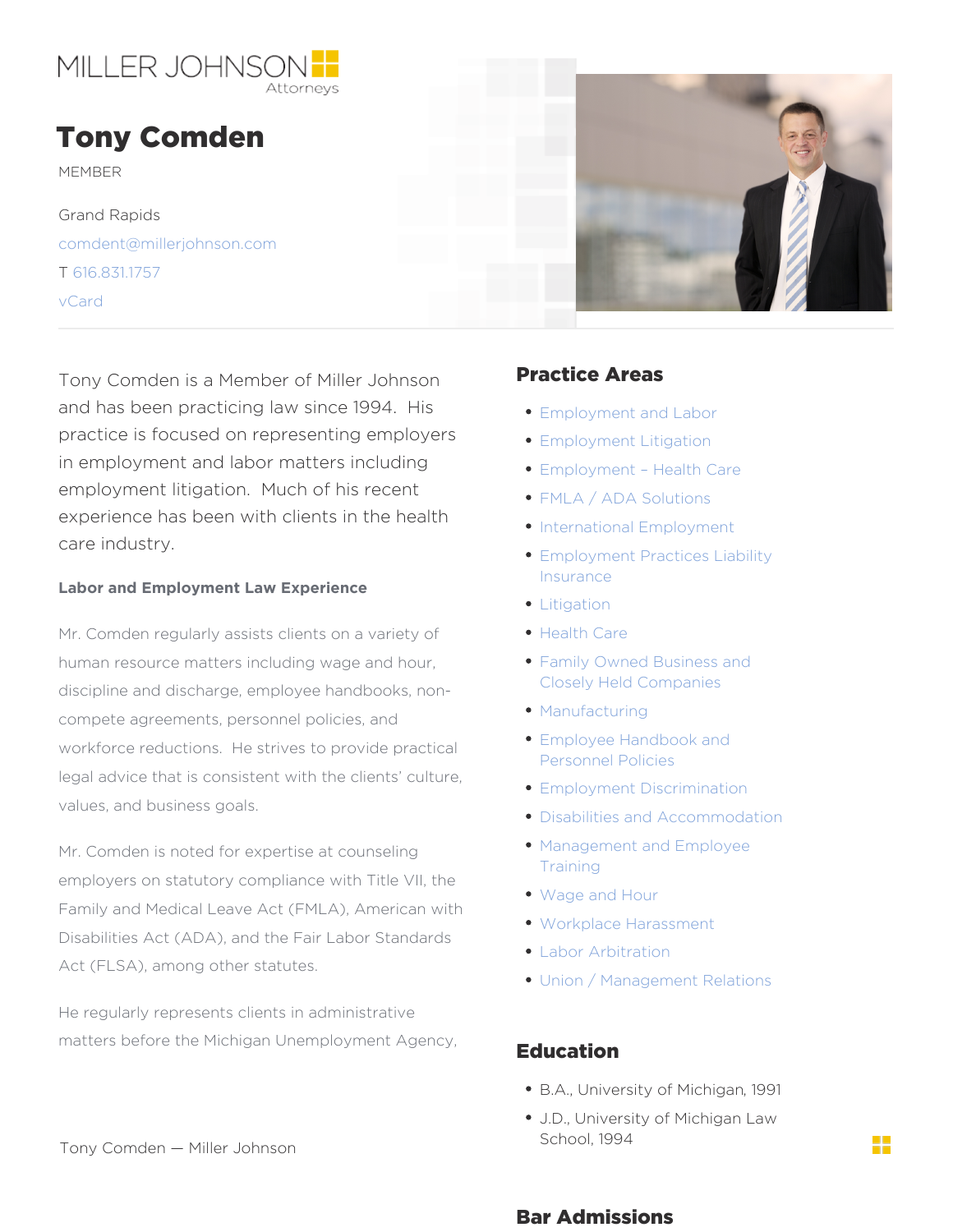## Tony Comden

MEMBER

Grand Rapids [comdent@millerjohn](mailto:comdent@millerjohnson.com)son.com T [616.831](/var/www/html/tel:616.831.1757).1757 [vCar](https://millerjohnson.com/wp-content/uploads/2016/12/Tony-Comden-vCard.vcf)d

Tony Comden is a Member of Miller JBH & Sthce Areas and has been practicing law since 1994  $_{\rm{E~m}}$  Hos ment and Labor practice is focused on representing emphoyey Sent Litigation in employment and labor matters including loyment Health Care employment litigation. Much of his recempt a / ADA Solutions experience has been with clients in the health care industry. Labor and Employment Law Experience  $Mr.$  Comden regularly assists clients on a  $\blacklozenge$  ahrieeetly tho fC are human resource matters including wage and homily Owned Business and discipline and discharge, employee handbooks, non- [Closely Held Com](https://millerjohnson.com/practices/industries/family-owned-business-closely-held-companies/)panies compete agreements, personnel policies, and [Manufactu](https://millerjohnson.com/practices/industries/manufacturing/)ring workforce reductions. He strives to provide practical prints in the molecule work for the work and legal advice that is consistent with the clients culture,<br> [Employment Discrim](https://millerjohnson.com/practices/employment-labor/employment-discrimination/)ination values, and business goals. Mr. Comden is noted for expertise at counse Magagement and Employee employers on statutory compliance with Title VII, the Family and Medical Leave Act (FMLA), American with Disabilities Act (ADA), and the Fair Labor Standards Act (FLSA), among other statutes. [Employment Practices](https://millerjohnson.com/practices/litigation/employment-practices-liability-insurance/) Liability [Insura](https://millerjohnson.com/practices/litigation/employment-practices-liability-insurance/)nce [Litigat](https://millerjohnson.com/practices/litigation/)ion [Personnel Po](https://millerjohnson.com/practices/employment-labor/employee-handbook-personnel-policies/)licies [Disabilities and Accom](https://millerjohnson.com/practices/employment-labor/disabilities-accommodation/)modation [Traini](https://millerjohnson.com/practices/employment-labor/management-employee-training/)ng [Wage and H](https://millerjohnson.com/practices/employment-labor/wage-hour/)our [Workplace Haras](https://millerjohnson.com/practices/employment-labor/workplace-harassment/)sment [Labor Arbitr](https://millerjohnson.com/practices/employment-labor/labor-arbitration/)ation [Union / Management](https://millerjohnson.com/practices/employment-labor/union-management-relations/) Relations

He regularly represents clients in administrative matters before the Michigan Unemployment  $\mathsf{F}^\mathsf{A}$ gencytion

- · B.A. University of Mid 9991an
- J. D, University of Michigan Law  $Schop1994$

Tony Comden Miller Johnson

Bar Admissions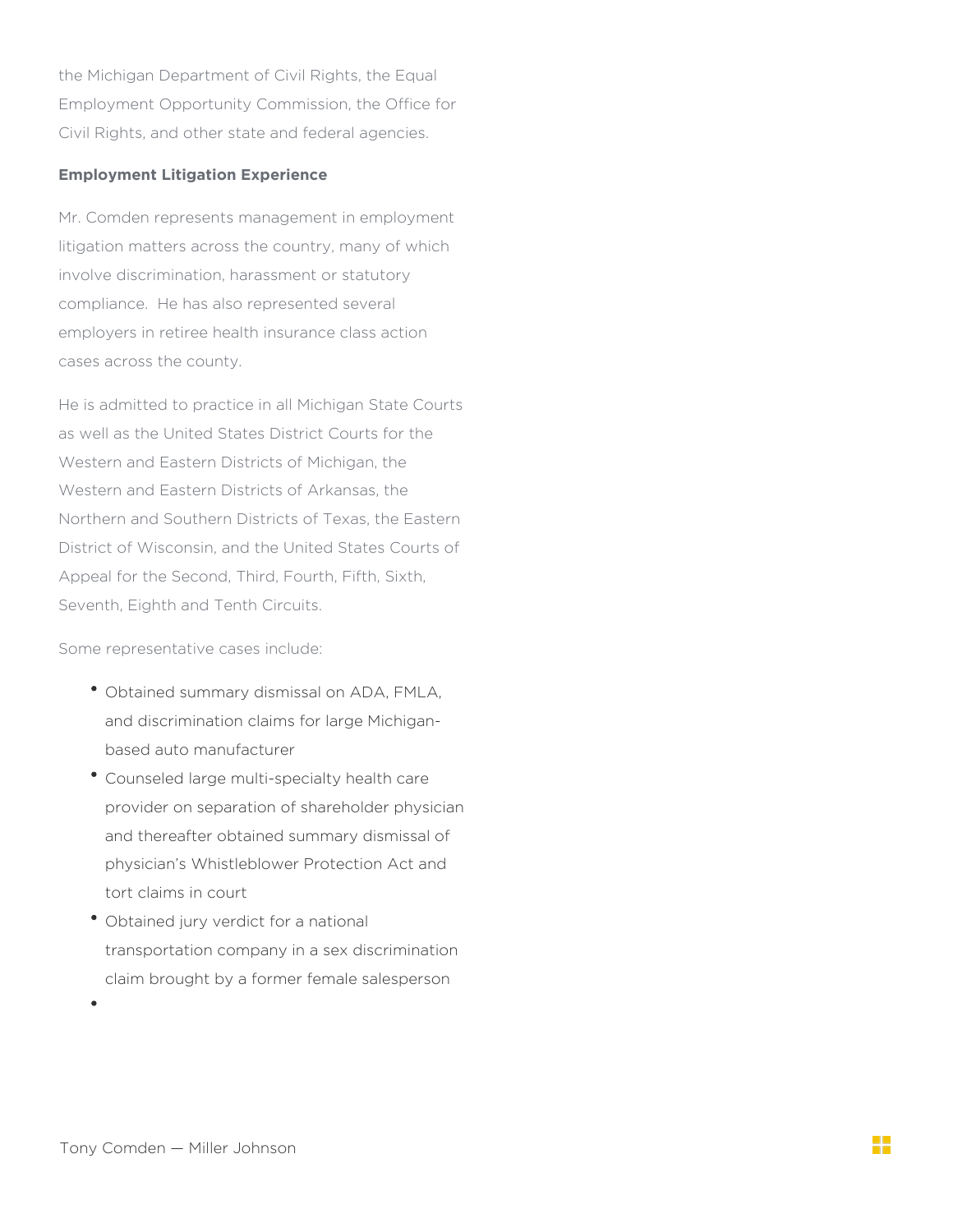the Michigan Department of Civil Rights, the Equal Employment Opportunity Commission, the Office for Civil Rights, and other state and federal agencies.

## **Employment Litigation Experience**

Mr. Comden represents management in employment litigation matters across the country, many of which involve discrimination, harassment or statutory compliance. He has also represented several employers in retiree health insurance class action cases across the county.

He is admitted to practice in all Michigan State Courts as well as the United States District Courts for the Western and Eastern Districts of Michigan, the Western and Eastern Districts of Arkansas, the Northern and Southern Districts of Texas, the Eastern District of Wisconsin, and the United States Courts of Appeal for the Second, Third, Fourth, Fifth, Sixth, Seventh, Eighth and Tenth Circuits.

Some representative cases include:

- Obtained summary dismissal on ADA, FMLA, and discrimination claims for large Michiganbased auto manufacturer
- Counseled large multi-specialty health care provider on separation of shareholder physician and thereafter obtained summary dismissal of physician's Whistleblower Protection Act and tort claims in court
- Obtained jury verdict for a national transportation company in a sex discrimination claim brought by a former female salesperson